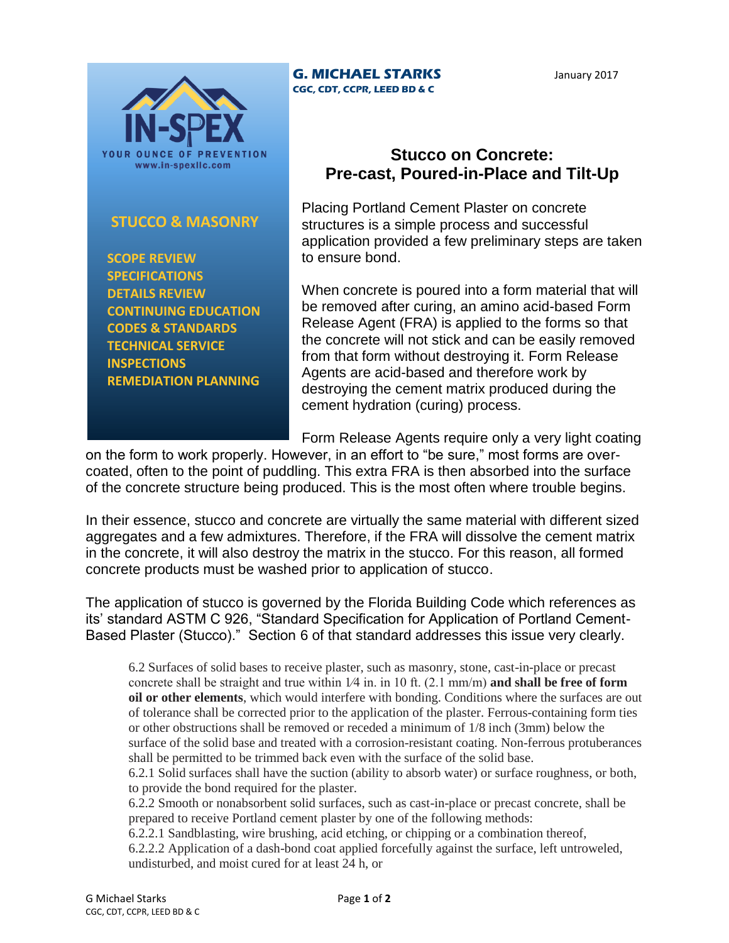

## **STUCCO & MASONRY**

 **SCOPE REVIEW SPECIFICATIONS DETAILS REVIEW CONTINUING EDUCATION CODES & STANDARDS TECHNICAL SERVICE INSPECTIONS REMEDIATION PLANNING**

## **G. MICHAEL STARKS CGC, CDT, CCPR, LEED BD & C**

January 2017

## **Stucco on Concrete: Pre-cast, Poured-in-Place and Tilt-Up**

Placing Portland Cement Plaster on concrete structures is a simple process and successful application provided a few preliminary steps are taken to ensure bond.

When concrete is poured into a form material that will be removed after curing, an amino acid-based Form Release Agent (FRA) is applied to the forms so that the concrete will not stick and can be easily removed from that form without destroying it. Form Release Agents are acid-based and therefore work by destroying the cement matrix produced during the cement hydration (curing) process.

Form Release Agents require only a very light coating

on the form to work properly. However, in an effort to "be sure," most forms are overcoated, often to the point of puddling. This extra FRA is then absorbed into the surface of the concrete structure being produced. This is the most often where trouble begins.

In their essence, stucco and concrete are virtually the same material with different sized aggregates and a few admixtures. Therefore, if the FRA will dissolve the cement matrix in the concrete, it will also destroy the matrix in the stucco. For this reason, all formed concrete products must be washed prior to application of stucco.

The application of stucco is governed by the Florida Building Code which references as its' standard ASTM C 926, "Standard Specification for Application of Portland Cement-Based Plaster (Stucco)." Section 6 of that standard addresses this issue very clearly.

6.2 Surfaces of solid bases to receive plaster, such as masonry, stone, cast-in-place or precast concrete shall be straight and true within 1⁄4 in. in 10 ft. (2.1 mm/m) **and shall be free of form oil or other elements**, which would interfere with bonding. Conditions where the surfaces are out of tolerance shall be corrected prior to the application of the plaster. Ferrous-containing form ties or other obstructions shall be removed or receded a minimum of 1/8 inch (3mm) below the surface of the solid base and treated with a corrosion-resistant coating. Non-ferrous protuberances shall be permitted to be trimmed back even with the surface of the solid base.

6.2.1 Solid surfaces shall have the suction (ability to absorb water) or surface roughness, or both, to provide the bond required for the plaster.

6.2.2 Smooth or nonabsorbent solid surfaces, such as cast-in-place or precast concrete, shall be prepared to receive Portland cement plaster by one of the following methods:

6.2.2.1 Sandblasting, wire brushing, acid etching, or chipping or a combination thereof,

6.2.2.2 Application of a dash-bond coat applied forcefully against the surface, left untroweled, undisturbed, and moist cured for at least 24 h, or